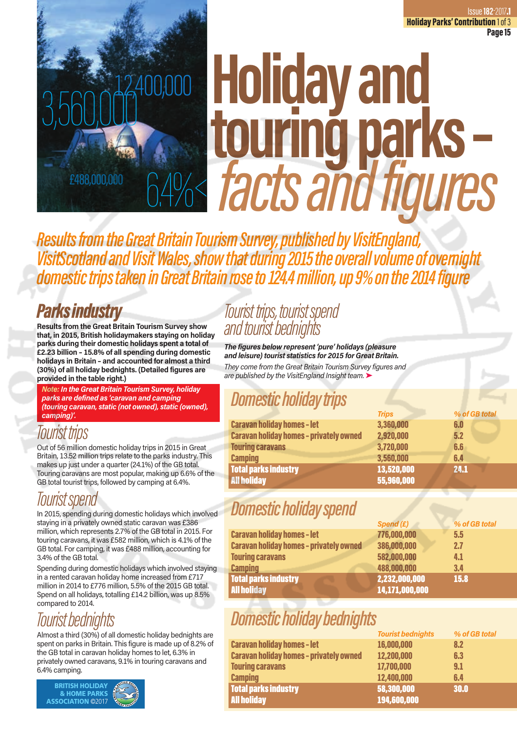# **Holiday and touring parks –**  *facts and figures* £488,000,000 6.4%<3,560,000

*Results from the Great Britain Tourism Survey, published by VisitEngland, VisitScotland and Visit Wales, show that during 2015 the overall volume of overnight domestic trips taken in Great Britain rose to 124.4 million, up 9% on the 2014 figure* 

### *Parks industry*

**Results from the Great Britain Tourism Survey show that, in 2015, British holidaymakers staying on holiday parks during their domestic holidays spent a total of £2.23 billion – 15.8% of all spending during domestic holidays in Britain – and accounted for almost a third (30%) of all holiday bednights. (Detailed figures are provided in the table right.)**

*Note: In the Great Britain Tourism Survey, holiday parks are defined as 'caravan and camping (touring caravan, static (not owned), static (owned), camping)'.* 

# *Tourist trips*

Out of 56 million domestic holiday trips in 2015 in Great Britain, 13.52 million trips relate to the parks industry. This makes up just under a quarter (24.1%) of the GB total. Touring caravans are most popular, making up 6.6% of the GB total tourist trips, followed by camping at 6.4%.

# *Tourist spend*

In 2015, spending during domestic holidays which involved staying in a privately owned static caravan was £386 million, which represents 2.7% of the GB total in 2015. For touring caravans, it was £582 million, which is 4.1% of the GB total. For camping, it was £488 million, accounting for 3.4% of the GB total.

Spending during domestic holidays which involved staying in a rented caravan holiday home increased from £717 million in 2014 to £776 million, 5.5% of the 2015 GB total. Spend on all holidays, totalling £14.2 billion, was up 8.5% compared to 2014.

# *Tourist bednights*

Almost a third (30%) of all domestic holiday bednights are spent on parks in Britain. This figure is made up of 8.2% of the GB total in caravan holiday homes to let, 6.3% in privately owned caravans, 9.1% in touring caravans and 6.4% camping.



### *Tourist trips, tourist spend and tourist bednights*

*The figures below represent 'pure' holidays (pleasure and leisure) tourist statistics for 2015 for Great Britain. They come from the Great Britain Tourism Survey figures and are published by the VisitEngland Insight team.* ➤

# *Domestic holiday trips*

|                                                | <b>Trips</b> | % of GB total |
|------------------------------------------------|--------------|---------------|
| <b>Caravan holiday homes - let</b>             | 3,360,000    | 6.0           |
| <b>Caravan holiday homes - privately owned</b> | 2,920,000    | 5.2           |
| <b>Touring caravans</b>                        | 3,720,000    | 6.6           |
| <b>Camping</b>                                 | 3,560,000    | 6.4           |
| Total parks industry                           | 13,520,000   | 24.1          |
| <b>All holiday</b>                             | 55,960,000   |               |

# *Domestic holiday spend*

|                                                | Spend (£)      | % of GB total |
|------------------------------------------------|----------------|---------------|
| <b>Caravan holiday homes - let</b>             | 776,000,000    | 5.5           |
| <b>Caravan holiday homes - privately owned</b> | 386,000,000    | 2.7           |
| <b>Touring caravans</b>                        | 582,000,000    | 4.1           |
| <b>Camping</b>                                 | 488,000,000    | 3.4           |
| Total parks industry                           | 2,232,000,000  | 15.8          |
| <b>All holiday</b>                             | 14,171,000,000 |               |

# *Domestic holiday bednights*

|                                                | <b>Tourist bednights</b> | % of GB total |
|------------------------------------------------|--------------------------|---------------|
| <b>Caravan holiday homes - let</b>             | 16,000,000               | 8.2           |
| <b>Caravan holiday homes - privately owned</b> | 12,200,000               | 6.3           |
| <b>Touring caravans</b>                        | 17,700,000               | 9.1           |
| <b>Camping</b>                                 | 12,400,000               | 6.4           |
| <b>Total parks industry</b>                    | 58,300,000               | 30.0          |
| <b>All holiday</b>                             | 194,600,000              |               |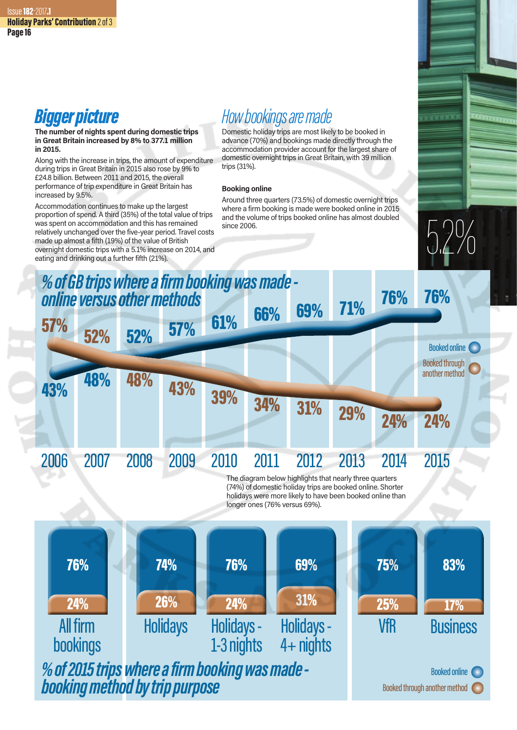### *Bigger picture*

#### **The number of nights spent during domestic trips in Great Britain increased by 8% to 377.1 million in 2015.**

Along with the increase in trips, the amount of expenditure during trips in Great Britain in 2015 also rose by 9% to £24.8 billion. Between 2011 and 2015, the overall performance of trip expenditure in Great Britain has increased by 9.5%.

Accommodation continues to make up the largest proportion of spend. A third (35%) of the total value of trips was spent on accommodation and this has remained relatively unchanged over the five-year period. Travel costs made up almost a fifth (19%) of the value of British overnight domestic trips with a 5.1% increase on 2014, and eating and drinking out a further fifth (21%).

# *How bookings are made*

Domestic holiday trips are most likely to be booked in advance (70%) and bookings made directly through the accommodation provider account for the largest share of domestic overnight trips in Great Britain, with 39 million trips (31%).

#### **Booking online**

Around three quarters (73.5%) of domestic overnight trips where a firm booking is made were booked online in 2015 and the volume of trips booked online has almost doubled since 2006.



17% 83% **Business** 25% 75% VfR holidays were more likely to have been booked online than longer ones (76% versus 69%). 24% 76% All firm bookings Holidays - 4+ nights Holidays - 1-3 nights 24% 76% 26% 74% 31% 69% **Holidays** *% of 2015 trips where a firm booking was made booking method by trip purpose* Booked through another method Booked online